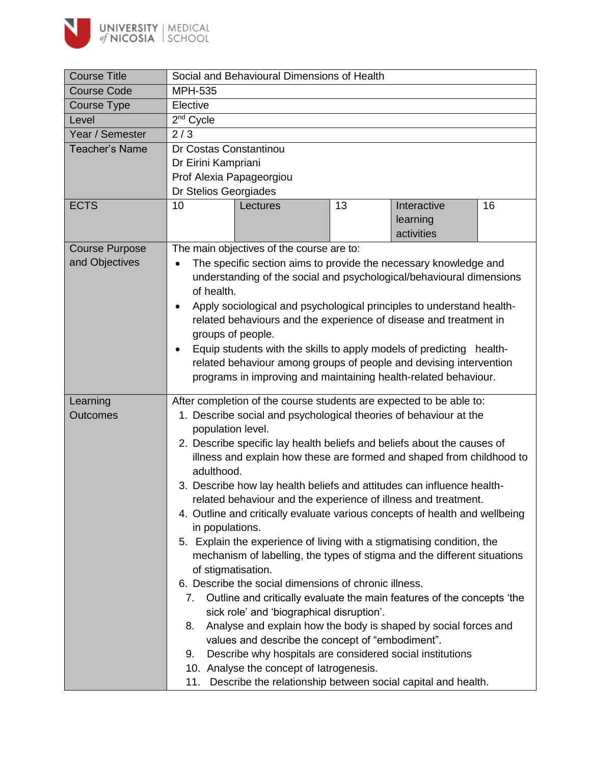

| <b>Course Title</b>                     | Social and Behavioural Dimensions of Health                                                                                                                                                                                                                                                                                                                                                                                                                                                                                                                                                                                                                                                                                                                                                                                                                                                                                                                                                                                                                                                                                                                                                                                                                     |  |  |  |  |  |  |
|-----------------------------------------|-----------------------------------------------------------------------------------------------------------------------------------------------------------------------------------------------------------------------------------------------------------------------------------------------------------------------------------------------------------------------------------------------------------------------------------------------------------------------------------------------------------------------------------------------------------------------------------------------------------------------------------------------------------------------------------------------------------------------------------------------------------------------------------------------------------------------------------------------------------------------------------------------------------------------------------------------------------------------------------------------------------------------------------------------------------------------------------------------------------------------------------------------------------------------------------------------------------------------------------------------------------------|--|--|--|--|--|--|
| <b>Course Code</b>                      | <b>MPH-535</b>                                                                                                                                                                                                                                                                                                                                                                                                                                                                                                                                                                                                                                                                                                                                                                                                                                                                                                                                                                                                                                                                                                                                                                                                                                                  |  |  |  |  |  |  |
| Course Type                             | Elective                                                                                                                                                                                                                                                                                                                                                                                                                                                                                                                                                                                                                                                                                                                                                                                                                                                                                                                                                                                                                                                                                                                                                                                                                                                        |  |  |  |  |  |  |
| Level                                   | 2 <sup>nd</sup> Cycle                                                                                                                                                                                                                                                                                                                                                                                                                                                                                                                                                                                                                                                                                                                                                                                                                                                                                                                                                                                                                                                                                                                                                                                                                                           |  |  |  |  |  |  |
| Year / Semester                         | 2/3                                                                                                                                                                                                                                                                                                                                                                                                                                                                                                                                                                                                                                                                                                                                                                                                                                                                                                                                                                                                                                                                                                                                                                                                                                                             |  |  |  |  |  |  |
| <b>Teacher's Name</b>                   | Dr Costas Constantinou<br>Dr Eirini Kampriani<br>Prof Alexia Papageorgiou<br>Dr Stelios Georgiades                                                                                                                                                                                                                                                                                                                                                                                                                                                                                                                                                                                                                                                                                                                                                                                                                                                                                                                                                                                                                                                                                                                                                              |  |  |  |  |  |  |
| <b>ECTS</b>                             | 10<br>13<br>16<br>Interactive<br>Lectures<br>learning<br>activities                                                                                                                                                                                                                                                                                                                                                                                                                                                                                                                                                                                                                                                                                                                                                                                                                                                                                                                                                                                                                                                                                                                                                                                             |  |  |  |  |  |  |
| <b>Course Purpose</b><br>and Objectives | The main objectives of the course are to:<br>The specific section aims to provide the necessary knowledge and<br>understanding of the social and psychological/behavioural dimensions<br>of health.<br>Apply sociological and psychological principles to understand health-<br>related behaviours and the experience of disease and treatment in<br>groups of people.<br>Equip students with the skills to apply models of predicting health-<br>$\bullet$<br>related behaviour among groups of people and devising intervention<br>programs in improving and maintaining health-related behaviour.                                                                                                                                                                                                                                                                                                                                                                                                                                                                                                                                                                                                                                                            |  |  |  |  |  |  |
| Learning                                |                                                                                                                                                                                                                                                                                                                                                                                                                                                                                                                                                                                                                                                                                                                                                                                                                                                                                                                                                                                                                                                                                                                                                                                                                                                                 |  |  |  |  |  |  |
| <b>Outcomes</b>                         | After completion of the course students are expected to be able to:<br>1. Describe social and psychological theories of behaviour at the<br>population level.<br>2. Describe specific lay health beliefs and beliefs about the causes of<br>illness and explain how these are formed and shaped from childhood to<br>adulthood.<br>3. Describe how lay health beliefs and attitudes can influence health-<br>related behaviour and the experience of illness and treatment.<br>4. Outline and critically evaluate various concepts of health and wellbeing<br>in populations.<br>5. Explain the experience of living with a stigmatising condition, the<br>mechanism of labelling, the types of stigma and the different situations<br>of stigmatisation.<br>6. Describe the social dimensions of chronic illness.<br>Outline and critically evaluate the main features of the concepts 'the<br>7.<br>sick role' and 'biographical disruption'.<br>Analyse and explain how the body is shaped by social forces and<br>8.<br>values and describe the concept of "embodiment".<br>Describe why hospitals are considered social institutions<br>9.<br>10. Analyse the concept of latrogenesis.<br>11. Describe the relationship between social capital and health. |  |  |  |  |  |  |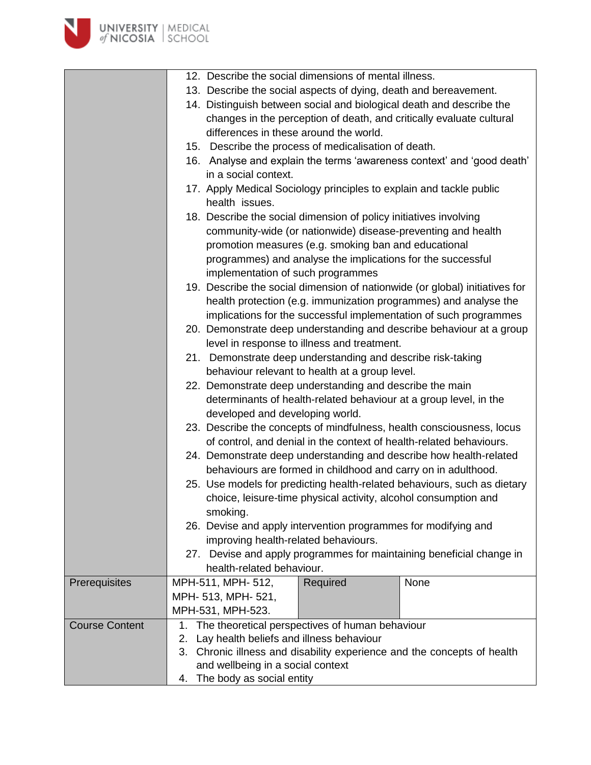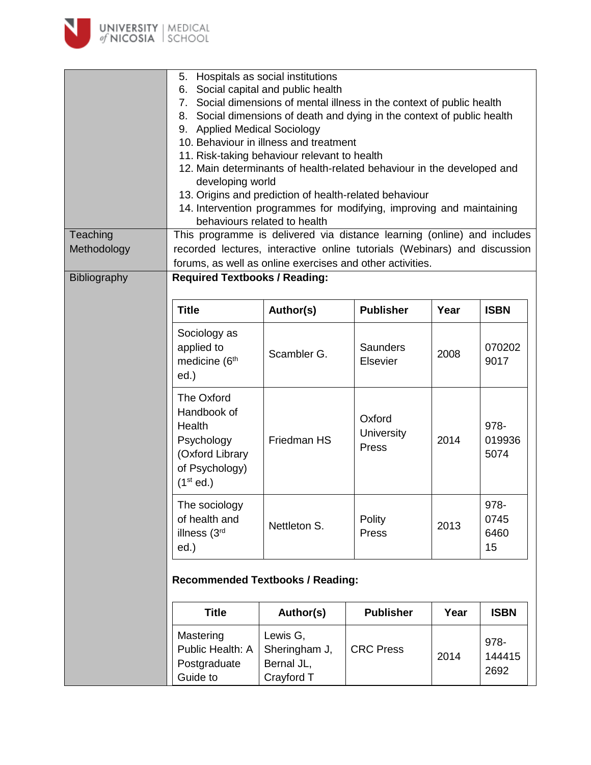

| Teaching     | 5. Hospitals as social institutions<br>6. Social capital and public health<br>7. Social dimensions of mental illness in the context of public health<br>8. Social dimensions of death and dying in the context of public health<br>9. Applied Medical Sociology<br>10. Behaviour in illness and treatment<br>11. Risk-taking behaviour relevant to health<br>12. Main determinants of health-related behaviour in the developed and<br>developing world<br>13. Origins and prediction of health-related behaviour<br>14. Intervention programmes for modifying, improving and maintaining<br>behaviours related to health<br>This programme is delivered via distance learning (online) and includes |                                                       |                               |      |                            |  |  |  |
|--------------|------------------------------------------------------------------------------------------------------------------------------------------------------------------------------------------------------------------------------------------------------------------------------------------------------------------------------------------------------------------------------------------------------------------------------------------------------------------------------------------------------------------------------------------------------------------------------------------------------------------------------------------------------------------------------------------------------|-------------------------------------------------------|-------------------------------|------|----------------------------|--|--|--|
| Methodology  | recorded lectures, interactive online tutorials (Webinars) and discussion                                                                                                                                                                                                                                                                                                                                                                                                                                                                                                                                                                                                                            |                                                       |                               |      |                            |  |  |  |
| Bibliography | forums, as well as online exercises and other activities.<br><b>Required Textbooks / Reading:</b>                                                                                                                                                                                                                                                                                                                                                                                                                                                                                                                                                                                                    |                                                       |                               |      |                            |  |  |  |
|              | <b>Title</b>                                                                                                                                                                                                                                                                                                                                                                                                                                                                                                                                                                                                                                                                                         | Author(s)                                             | <b>Publisher</b>              | Year | <b>ISBN</b>                |  |  |  |
|              | Sociology as<br>applied to<br>medicine (6 <sup>th</sup><br>ed.)                                                                                                                                                                                                                                                                                                                                                                                                                                                                                                                                                                                                                                      | Scambler G.                                           | <b>Saunders</b><br>Elsevier   | 2008 | 070202<br>9017             |  |  |  |
|              | The Oxford<br>Handbook of<br>Health<br>Psychology<br>(Oxford Library<br>of Psychology)<br>(1 <sup>st</sup> ed.)                                                                                                                                                                                                                                                                                                                                                                                                                                                                                                                                                                                      | Friedman HS                                           | Oxford<br>University<br>Press | 2014 | 978-<br>019936<br>5074     |  |  |  |
|              | The sociology<br>of health and<br>illness (3rd<br>ed.)                                                                                                                                                                                                                                                                                                                                                                                                                                                                                                                                                                                                                                               | Nettleton S.                                          | Polity<br>Press               | 2013 | 978-<br>0745<br>6460<br>15 |  |  |  |
|              | <b>Recommended Textbooks / Reading:</b>                                                                                                                                                                                                                                                                                                                                                                                                                                                                                                                                                                                                                                                              |                                                       |                               |      |                            |  |  |  |
|              | <b>Title</b>                                                                                                                                                                                                                                                                                                                                                                                                                                                                                                                                                                                                                                                                                         | Author(s)                                             | <b>Publisher</b>              | Year | <b>ISBN</b>                |  |  |  |
|              | Mastering<br>Public Health: A<br>Postgraduate<br>Guide to                                                                                                                                                                                                                                                                                                                                                                                                                                                                                                                                                                                                                                            | Lewis G,<br>Sheringham J,<br>Bernal JL,<br>Crayford T | <b>CRC Press</b>              | 2014 | 978-<br>144415<br>2692     |  |  |  |